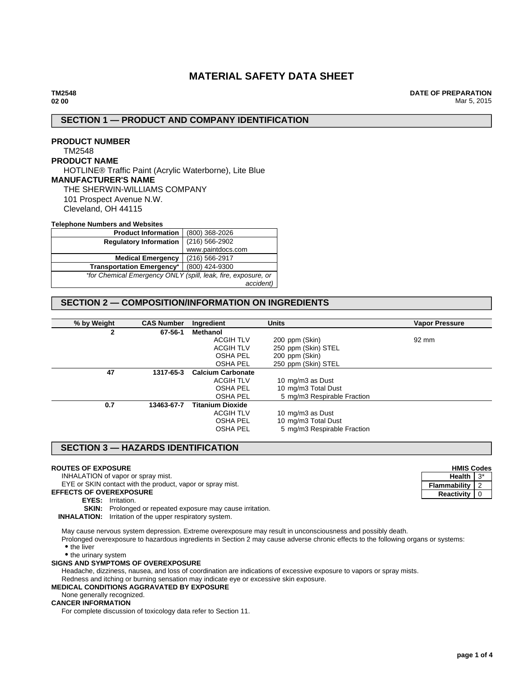# **MATERIAL SAFETY DATA SHEET**

**DATE OF PREPARATION** Mar 5, 2015

## **SECTION 1 — PRODUCT AND COMPANY IDENTIFICATION**

## **PRODUCT NUMBER** TM2548 **PRODUCT NAME** HOTLINE® Traffic Paint (Acrylic Waterborne), Lite Blue **MANUFACTURER'S NAME** THE SHERWIN-WILLIAMS COMPANY 101 Prospect Avenue N.W. Cleveland, OH 44115

#### **Telephone Numbers and Websites**

| <b>Product Information</b>                                    | (800) 368-2026     |  |
|---------------------------------------------------------------|--------------------|--|
| <b>Regulatory Information</b>                                 | $(216) 566 - 2902$ |  |
|                                                               | www.paintdocs.com  |  |
| <b>Medical Emergency</b>                                      | (216) 566-2917     |  |
| <b>Transportation Emergency*</b>                              | (800) 424-9300     |  |
| *for Chemical Emergency ONLY (spill, leak, fire, exposure, or |                    |  |
|                                                               | accident)          |  |

## **SECTION 2 — COMPOSITION/INFORMATION ON INGREDIENTS**

| % by Weight | <b>CAS Number</b> | Ingredient               | <b>Units</b>                | <b>Vapor Pressure</b> |
|-------------|-------------------|--------------------------|-----------------------------|-----------------------|
| 2           | 67-56-1           | Methanol                 |                             |                       |
|             |                   | <b>ACGIH TLV</b>         | 200 ppm (Skin)              | 92 mm                 |
|             |                   | <b>ACGIH TLV</b>         | 250 ppm (Skin) STEL         |                       |
|             |                   | <b>OSHA PEL</b>          | 200 ppm (Skin)              |                       |
|             |                   | <b>OSHA PEL</b>          | 250 ppm (Skin) STEL         |                       |
| 47          | 1317-65-3         | <b>Calcium Carbonate</b> |                             |                       |
|             |                   | <b>ACGIH TLV</b>         | 10 mg/m3 as Dust            |                       |
|             |                   | <b>OSHA PEL</b>          | 10 mg/m3 Total Dust         |                       |
|             |                   | <b>OSHA PEL</b>          | 5 mg/m3 Respirable Fraction |                       |
| 0.7         | 13463-67-7        | <b>Titanium Dioxide</b>  |                             |                       |
|             |                   | <b>ACGIH TLV</b>         | 10 mg/m3 as Dust            |                       |
|             |                   | <b>OSHA PEL</b>          | 10 mg/m3 Total Dust         |                       |
|             |                   | <b>OSHA PEL</b>          | 5 mg/m3 Respirable Fraction |                       |

## **SECTION 3 — HAZARDS IDENTIFICATION**

### **ROUTES OF EXPOSURE**

INHALATION of vapor or spray mist.

EYE or SKIN contact with the product, vapor or spray mist.

- **EFFECTS OF OVEREXPOSURE**
	- **EYES:** Irritation.

**SKIN:** Prolonged or repeated exposure may cause irritation.

**INHALATION:** Irritation of the upper respiratory system.

May cause nervous system depression. Extreme overexposure may result in unconsciousness and possibly death.

Prolonged overexposure to hazardous ingredients in Section 2 may cause adverse chronic effects to the following organs or systems: • the liver

• the urinary system

### **SIGNS AND SYMPTOMS OF OVEREXPOSURE**

Headache, dizziness, nausea, and loss of coordination are indications of excessive exposure to vapors or spray mists.

Redness and itching or burning sensation may indicate eye or excessive skin exposure.

### **MEDICAL CONDITIONS AGGRAVATED BY EXPOSURE**

None generally recognized.

## **CANCER INFORMATION**

For complete discussion of toxicology data refer to Section 11.

**HMIS Codes Health** 3<sup>\*</sup> **Flammability** 2 **Reactivity** 0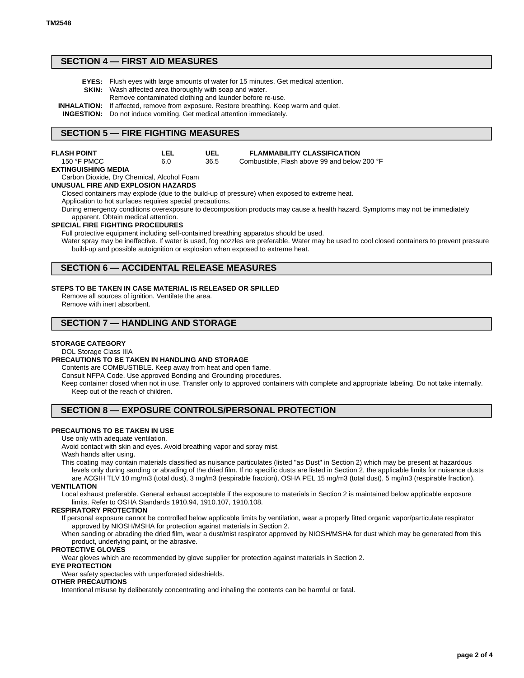## **SECTION 4 — FIRST AID MEASURES**

- **EYES:** Flush eyes with large amounts of water for 15 minutes. Get medical attention.
- **SKIN:** Wash affected area thoroughly with soap and water. Remove contaminated clothing and launder before re-use.
- **INHALATION:** If affected, remove from exposure. Restore breathing. Keep warm and quiet.

**INGESTION:** Do not induce vomiting. Get medical attention immediately.

### **SECTION 5 — FIRE FIGHTING MEASURES**

| <b>FLASH POINT</b>   | LEL | UEL  | <b>FLAMMABILITY CLASSIFICATION</b>           |
|----------------------|-----|------|----------------------------------------------|
| 150 $\degree$ F PMCC | 6.0 | 36.5 | Combustible. Flash above 99 and below 200 °F |

### **EXTINGUISHING MEDIA**

Carbon Dioxide, Dry Chemical, Alcohol Foam

**UNUSUAL FIRE AND EXPLOSION HAZARDS**

Closed containers may explode (due to the build-up of pressure) when exposed to extreme heat.

Application to hot surfaces requires special precautions.

During emergency conditions overexposure to decomposition products may cause a health hazard. Symptoms may not be immediately apparent. Obtain medical attention.

#### **SPECIAL FIRE FIGHTING PROCEDURES**

Full protective equipment including self-contained breathing apparatus should be used.

Water spray may be ineffective. If water is used, fog nozzles are preferable. Water may be used to cool closed containers to prevent pressure build-up and possible autoignition or explosion when exposed to extreme heat.

### **SECTION 6 — ACCIDENTAL RELEASE MEASURES**

#### **STEPS TO BE TAKEN IN CASE MATERIAL IS RELEASED OR SPILLED**

Remove all sources of ignition. Ventilate the area. Remove with inert absorbent.

## **SECTION 7 — HANDLING AND STORAGE**

### **STORAGE CATEGORY**

#### DOL Storage Class IIIA

#### **PRECAUTIONS TO BE TAKEN IN HANDLING AND STORAGE**

Contents are COMBUSTIBLE. Keep away from heat and open flame.

Consult NFPA Code. Use approved Bonding and Grounding procedures.

Keep container closed when not in use. Transfer only to approved containers with complete and appropriate labeling. Do not take internally. Keep out of the reach of children.

### **SECTION 8 — EXPOSURE CONTROLS/PERSONAL PROTECTION**

### **PRECAUTIONS TO BE TAKEN IN USE**

Use only with adequate ventilation.

Avoid contact with skin and eyes. Avoid breathing vapor and spray mist.

Wash hands after using.

This coating may contain materials classified as nuisance particulates (listed "as Dust" in Section 2) which may be present at hazardous levels only during sanding or abrading of the dried film. If no specific dusts are listed in Section 2, the applicable limits for nuisance dusts are ACGIH TLV 10 mg/m3 (total dust), 3 mg/m3 (respirable fraction), OSHA PEL 15 mg/m3 (total dust), 5 mg/m3 (respirable fraction).

#### **VENTILATION**

Local exhaust preferable. General exhaust acceptable if the exposure to materials in Section 2 is maintained below applicable exposure limits. Refer to OSHA Standards 1910.94, 1910.107, 1910.108.

#### **RESPIRATORY PROTECTION**

If personal exposure cannot be controlled below applicable limits by ventilation, wear a properly fitted organic vapor/particulate respirator approved by NIOSH/MSHA for protection against materials in Section 2.

When sanding or abrading the dried film, wear a dust/mist respirator approved by NIOSH/MSHA for dust which may be generated from this product, underlying paint, or the abrasive.

### **PROTECTIVE GLOVES**

Wear gloves which are recommended by glove supplier for protection against materials in Section 2.

#### **EYE PROTECTION**

Wear safety spectacles with unperforated sideshields.

### **OTHER PRECAUTIONS**

Intentional misuse by deliberately concentrating and inhaling the contents can be harmful or fatal.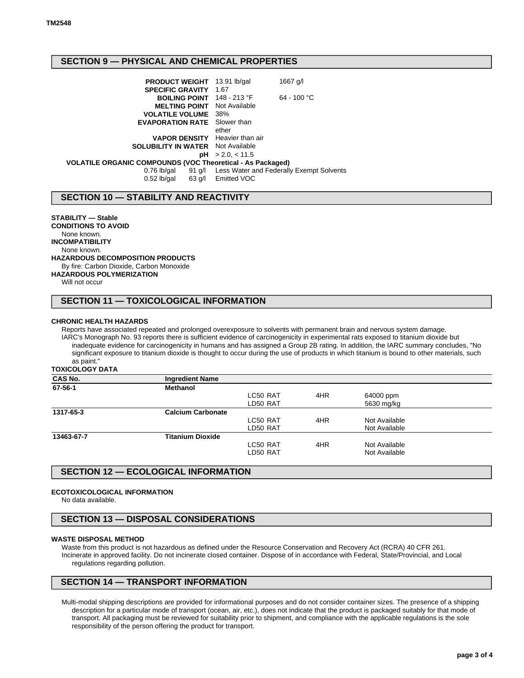## **SECTION 9 — PHYSICAL AND CHEMICAL PROPERTIES**

| <b>PRODUCT WEIGHT</b> 13.91 lb/gal                         |                    | 1667 g/l                                        |  |  |
|------------------------------------------------------------|--------------------|-------------------------------------------------|--|--|
| <b>SPECIFIC GRAVITY</b>                                    | 1.67               |                                                 |  |  |
| BOILING POINT 148 - 213 °F                                 |                    | $64 - 100 °C$                                   |  |  |
| <b>MELTING POINT</b>                                       | Not Available      |                                                 |  |  |
| <b>VOLATILE VOLUME</b> 38%                                 |                    |                                                 |  |  |
| <b>EVAPORATION RATE</b>                                    | Slower than        |                                                 |  |  |
|                                                            | ether              |                                                 |  |  |
| <b>VAPOR DENSITY</b> Heavier than air                      |                    |                                                 |  |  |
| <b>SOLUBILITY IN WATER</b> Not Available                   |                    |                                                 |  |  |
| рH                                                         | > 2.0, < 11.5      |                                                 |  |  |
| VOLATILE ORGANIC COMPOUNDS (VOC Theoretical - As Packaged) |                    |                                                 |  |  |
| $0.76$ lb/gal                                              |                    | 91 g/l Less Water and Federally Exempt Solvents |  |  |
| $0.52$ lb/gal                                              | 63 g/l Emitted VOC |                                                 |  |  |
|                                                            |                    |                                                 |  |  |

## **SECTION 10 — STABILITY AND REACTIVITY**

**STABILITY — Stable CONDITIONS TO AVOID** None known. **INCOMPATIBILITY** None known. **HAZARDOUS DECOMPOSITION PRODUCTS** By fire: Carbon Dioxide, Carbon Monoxide **HAZARDOUS POLYMERIZATION** Will not occur

## **SECTION 11 — TOXICOLOGICAL INFORMATION**

#### **CHRONIC HEALTH HAZARDS**

Reports have associated repeated and prolonged overexposure to solvents with permanent brain and nervous system damage. IARC's Monograph No. 93 reports there is sufficient evidence of carcinogenicity in experimental rats exposed to titanium dioxide but inadequate evidence for carcinogenicity in humans and has assigned a Group 2B rating. In addition, the IARC summary concludes, "No significant exposure to titanium dioxide is thought to occur during the use of products in which titanium is bound to other materials, such as paint."

**TOXICOLOGY DATA**

| <b>Ingredient Name</b>   |          |     |               |  |
|--------------------------|----------|-----|---------------|--|
| <b>Methanol</b>          |          |     |               |  |
|                          | LC50 RAT | 4HR | 64000 ppm     |  |
|                          | LD50 RAT |     | 5630 mg/kg    |  |
| <b>Calcium Carbonate</b> |          |     |               |  |
|                          | LC50 RAT | 4HR | Not Available |  |
|                          | LD50 RAT |     | Not Available |  |
| <b>Titanium Dioxide</b>  |          |     |               |  |
|                          | LC50 RAT | 4HR | Not Available |  |
|                          | LD50 RAT |     | Not Available |  |
|                          |          |     |               |  |

## **SECTION 12 — ECOLOGICAL INFORMATION**

### **ECOTOXICOLOGICAL INFORMATION**

No data available.

## **SECTION 13 — DISPOSAL CONSIDERATIONS**

#### **WASTE DISPOSAL METHOD**

Waste from this product is not hazardous as defined under the Resource Conservation and Recovery Act (RCRA) 40 CFR 261. Incinerate in approved facility. Do not incinerate closed container. Dispose of in accordance with Federal, State/Provincial, and Local regulations regarding pollution.

# **SECTION 14 — TRANSPORT INFORMATION**

Multi-modal shipping descriptions are provided for informational purposes and do not consider container sizes. The presence of a shipping description for a particular mode of transport (ocean, air, etc.), does not indicate that the product is packaged suitably for that mode of transport. All packaging must be reviewed for suitability prior to shipment, and compliance with the applicable regulations is the sole responsibility of the person offering the product for transport.